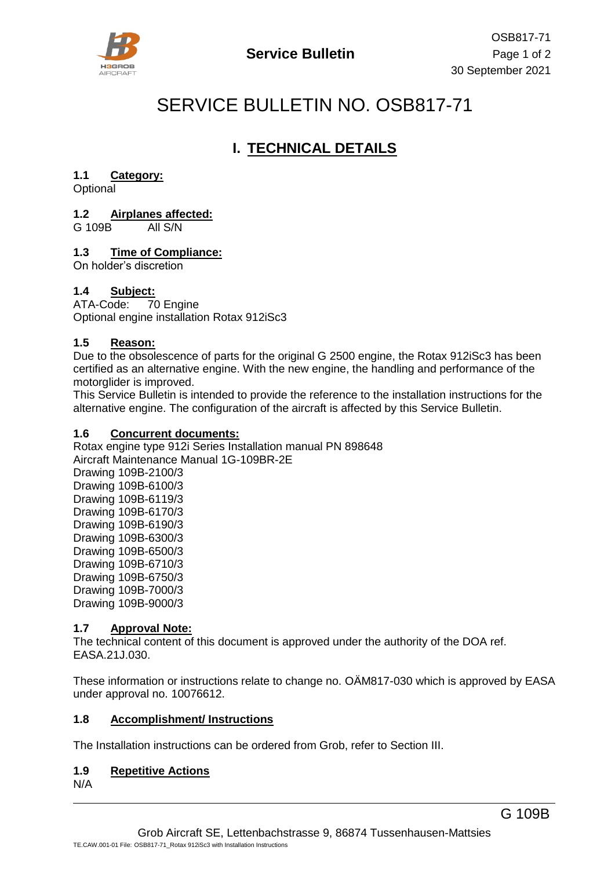

# SERVICE BULLETIN NO. OSB817-71

# **I. TECHNICAL DETAILS**

#### **1.1 Category:**

**Optional** 

#### **1.2 Airplanes affected:**

G 109B All S/N

#### **1.3 Time of Compliance:**

On holder's discretion

#### **1.4 Subject:**

ATA-Code: 70 Engine Optional engine installation Rotax 912iSc3

#### **1.5 Reason:**

Due to the obsolescence of parts for the original G 2500 engine, the Rotax 912iSc3 has been certified as an alternative engine. With the new engine, the handling and performance of the motorglider is improved.

This Service Bulletin is intended to provide the reference to the installation instructions for the alternative engine. The configuration of the aircraft is affected by this Service Bulletin.

#### **1.6 Concurrent documents:**

Rotax engine type 912i Series Installation manual PN 898648 Aircraft Maintenance Manual 1G-109BR-2E Drawing 109B-2100/3 Drawing 109B-6100/3 Drawing 109B-6119/3 Drawing 109B-6170/3 Drawing 109B-6190/3 Drawing 109B-6300/3 Drawing 109B-6500/3 Drawing 109B-6710/3 Drawing 109B-6750/3 Drawing 109B-7000/3 Drawing 109B-9000/3

#### **1.7 Approval Note:**

The technical content of this document is approved under the authority of the DOA ref. EASA.21J.030.

These information or instructions relate to change no. OÄM817-030 which is approved by EASA under approval no. 10076612.

#### **1.8 Accomplishment/ Instructions**

The Installation instructions can be ordered from Grob, refer to Section III.

#### **1.9 Repetitive Actions**

N/A